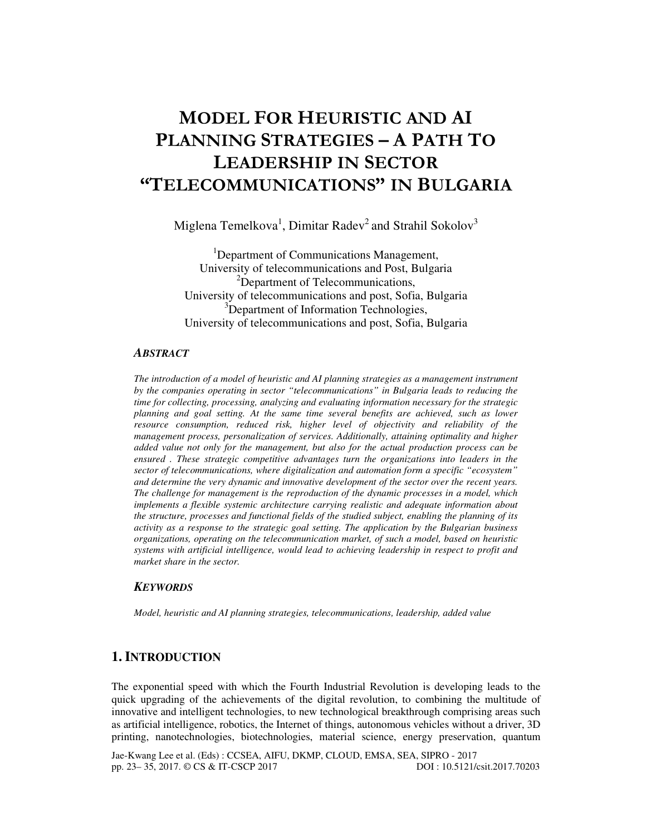# MODEL FOR HEURISTIC AND AI PLANNING STRATEGIES – A PATH TO LEADERSHIP IN SECTOR "TELECOMMUNICATIONS" IN BULGARIA

Miglena Temelkova<sup>1</sup>, Dimitar Radev<sup>2</sup> and Strahil Sokolov<sup>3</sup>

<sup>1</sup>Department of Communications Management, University of telecommunications and Post, Bulgaria <sup>2</sup>Department of Telecommunications, University of telecommunications and post, Sofia, Bulgaria <sup>3</sup>Department of Information Technologies, University of telecommunications and post, Sofia, Bulgaria

#### *ABSTRACT*

*The introduction of a model of heuristic and AI planning strategies as a management instrument by the companies operating in sector "telecommunications" in Bulgaria leads to reducing the time for collecting, processing, analyzing and evaluating information necessary for the strategic planning and goal setting. At the same time several benefits are achieved, such as lower resource consumption, reduced risk, higher level of objectivity and reliability of the management process, personalization of services. Additionally, attaining optimality and higher added value not only for the management, but also for the actual production process can be ensured . These strategic competitive advantages turn the organizations into leaders in the sector of telecommunications, where digitalization and automation form a specific "ecosystem" and determine the very dynamic and innovative development of the sector over the recent years. The challenge for management is the reproduction of the dynamic processes in a model, which implements a flexible systemic architecture carrying realistic and adequate information about the structure, processes and functional fields of the studied subject, enabling the planning of its activity as a response to the strategic goal setting. The application by the Bulgarian business organizations, operating on the telecommunication market, of such a model, based on heuristic systems with artificial intelligence, would lead to achieving leadership in respect to profit and market share in the sector.* 

### *KEYWORDS*

*Model, heuristic and AI planning strategies, telecommunications, leadership, added value* 

# **1. INTRODUCTION**

The exponential speed with which the Fourth Industrial Revolution is developing leads to the quick upgrading of the achievements of the digital revolution, to combining the multitude of innovative and intelligent technologies, to new technological breakthrough comprising areas such as artificial intelligence, robotics, the Internet of things, autonomous vehicles without a driver, 3D printing, nanotechnologies, biotechnologies, material science, energy preservation, quantum

Jae-Kwang Lee et al. (Eds) : CCSEA, AIFU, DKMP, CLOUD, EMSA, SEA, SIPRO - 2017 pp. 23– 35, 2017. © CS & IT-CSCP 2017 DOI : 10.5121/csit.2017.70203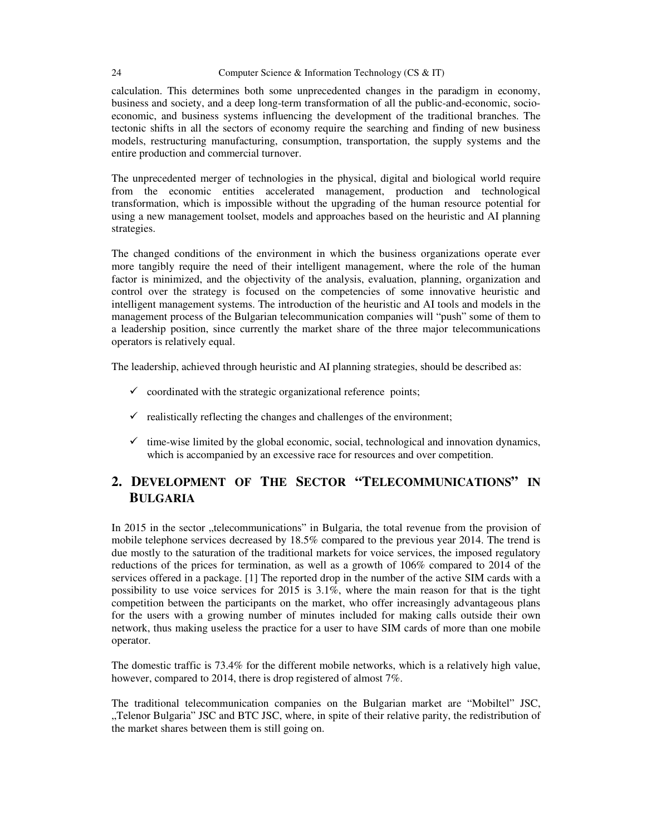calculation. This determines both some unprecedented changes in the paradigm in economy, business and society, and a deep long-term transformation of all the public-and-economic, socioeconomic, and business systems influencing the development of the traditional branches. The tectonic shifts in all the sectors of economy require the searching and finding of new business models, restructuring manufacturing, consumption, transportation, the supply systems and the entire production and commercial turnover.

The unprecedented merger of technologies in the physical, digital and biological world require from the economic entities accelerated management, production and technological transformation, which is impossible without the upgrading of the human resource potential for using a new management toolset, models and approaches based on the heuristic and AI planning strategies.

The changed conditions of the environment in which the business organizations operate ever more tangibly require the need of their intelligent management, where the role of the human factor is minimized, and the objectivity of the analysis, evaluation, planning, organization and control over the strategy is focused on the competencies of some innovative heuristic and intelligent management systems. The introduction of the heuristic and AI tools and models in the management process of the Bulgarian telecommunication companies will "push" some of them to a leadership position, since currently the market share of the three major telecommunications operators is relatively equal.

The leadership, achieved through heuristic and AI planning strategies, should be described as:

- $\checkmark$  coordinated with the strategic organizational reference points;
- $\checkmark$  realistically reflecting the changes and challenges of the environment;
- $\checkmark$  time-wise limited by the global economic, social, technological and innovation dynamics, which is accompanied by an excessive race for resources and over competition.

# **2. DEVELOPMENT OF THE SECTOR "TELECOMMUNICATIONS" IN BULGARIA**

In 2015 in the sector "telecommunications" in Bulgaria, the total revenue from the provision of mobile telephone services decreased by 18.5% compared to the previous year 2014. The trend is due mostly to the saturation of the traditional markets for voice services, the imposed regulatory reductions of the prices for termination, as well as a growth of 106% compared to 2014 of the services offered in a package. [1] The reported drop in the number of the active SIM cards with a possibility to use voice services for 2015 is 3.1%, where the main reason for that is the tight competition between the participants on the market, who offer increasingly advantageous plans for the users with a growing number of minutes included for making calls outside their own network, thus making useless the practice for a user to have SIM cards of more than one mobile operator.

The domestic traffic is 73.4% for the different mobile networks, which is a relatively high value, however, compared to 2014, there is drop registered of almost 7%.

The traditional telecommunication companies on the Bulgarian market are "Mobiltel" JSC, "Telenor Bulgaria" JSC and BTC JSC, where, in spite of their relative parity, the redistribution of the market shares between them is still going on.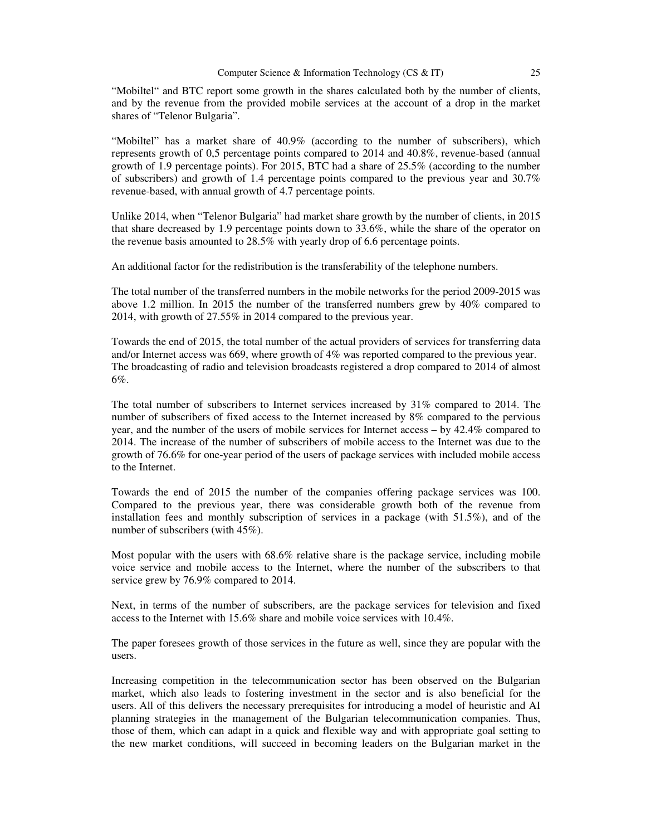"Mobiltel" and BTC report some growth in the shares calculated both by the number of clients, and by the revenue from the provided mobile services at the account of a drop in the market shares of "Telenor Bulgaria".

"Mobiltel" has a market share of 40.9% (according to the number of subscribers), which represents growth of 0,5 percentage points compared to 2014 and 40.8%, revenue-based (annual growth of 1.9 percentage points). For 2015, BTC had a share of 25.5% (according to the number of subscribers) and growth of 1.4 percentage points compared to the previous year and 30.7% revenue-based, with annual growth of 4.7 percentage points.

Unlike 2014, when "Telenor Bulgaria" had market share growth by the number of clients, in 2015 that share decreased by 1.9 percentage points down to 33.6%, while the share of the operator on the revenue basis amounted to 28.5% with yearly drop of 6.6 percentage points.

An additional factor for the redistribution is the transferability of the telephone numbers.

The total number of the transferred numbers in the mobile networks for the period 2009-2015 was above 1.2 million. In 2015 the number of the transferred numbers grew by 40% compared to 2014, with growth of 27.55% in 2014 compared to the previous year.

Towards the end of 2015, the total number of the actual providers of services for transferring data and/or Internet access was 669, where growth of 4% was reported compared to the previous year. The broadcasting of radio and television broadcasts registered a drop compared to 2014 of almost 6%.

The total number of subscribers to Internet services increased by 31% compared to 2014. The number of subscribers of fixed access to the Internet increased by 8% compared to the pervious year, and the number of the users of mobile services for Internet access – by 42.4% compared to 2014. The increase of the number of subscribers of mobile access to the Internet was due to the growth of 76.6% for one-year period of the users of package services with included mobile access to the Internet.

Towards the end of 2015 the number of the companies offering package services was 100. Compared to the previous year, there was considerable growth both of the revenue from installation fees and monthly subscription of services in a package (with 51.5%), and of the number of subscribers (with 45%).

Most popular with the users with 68.6% relative share is the package service, including mobile voice service and mobile access to the Internet, where the number of the subscribers to that service grew by 76.9% compared to 2014.

Next, in terms of the number of subscribers, are the package services for television and fixed access to the Internet with 15.6% share and mobile voice services with 10.4%.

The paper foresees growth of those services in the future as well, since they are popular with the users.

Increasing competition in the telecommunication sector has been observed on the Bulgarian market, which also leads to fostering investment in the sector and is also beneficial for the users. All of this delivers the necessary prerequisites for introducing a model of heuristic and AI planning strategies in the management of the Bulgarian telecommunication companies. Thus, those of them, which can adapt in a quick and flexible way and with appropriate goal setting to the new market conditions, will succeed in becoming leaders on the Bulgarian market in the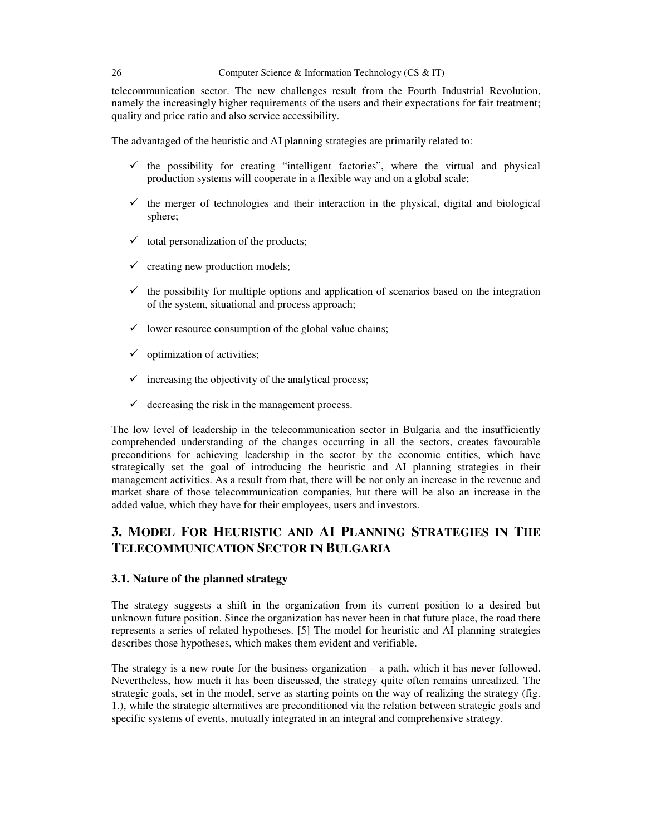telecommunication sector. The new challenges result from the Fourth Industrial Revolution, namely the increasingly higher requirements of the users and their expectations for fair treatment; quality and price ratio and also service accessibility.

The advantaged of the heuristic and AI planning strategies are primarily related to:

- $\checkmark$  the possibility for creating "intelligent factories", where the virtual and physical production systems will cooperate in a flexible way and on a global scale;
- $\checkmark$  the merger of technologies and their interaction in the physical, digital and biological sphere;
- $\checkmark$  total personalization of the products;
- $\checkmark$  creating new production models;
- $\checkmark$  the possibility for multiple options and application of scenarios based on the integration of the system, situational and process approach;
- $\checkmark$  lower resource consumption of the global value chains;
- $\checkmark$  optimization of activities;
- $\checkmark$  increasing the objectivity of the analytical process;
- $\checkmark$  decreasing the risk in the management process.

The low level of leadership in the telecommunication sector in Bulgaria and the insufficiently comprehended understanding of the changes occurring in all the sectors, creates favourable preconditions for achieving leadership in the sector by the economic entities, which have strategically set the goal of introducing the heuristic and AI planning strategies in their management activities. As a result from that, there will be not only an increase in the revenue and market share of those telecommunication companies, but there will be also an increase in the added value, which they have for their employees, users and investors.

# **3. MODEL FOR HEURISTIC AND AI PLANNING STRATEGIES IN THE TELECOMMUNICATION SECTOR IN BULGARIA**

### **3.1. Nature of the planned strategy**

The strategy suggests a shift in the organization from its current position to a desired but unknown future position. Since the organization has never been in that future place, the road there represents a series of related hypotheses. [5] The model for heuristic and AI planning strategies describes those hypotheses, which makes them evident and verifiable.

The strategy is a new route for the business organization – a path, which it has never followed. Nevertheless, how much it has been discussed, the strategy quite often remains unrealized. The strategic goals, set in the model, serve as starting points on the way of realizing the strategy (fig. 1.), while the strategic alternatives are preconditioned via the relation between strategic goals and specific systems of events, mutually integrated in an integral and comprehensive strategy.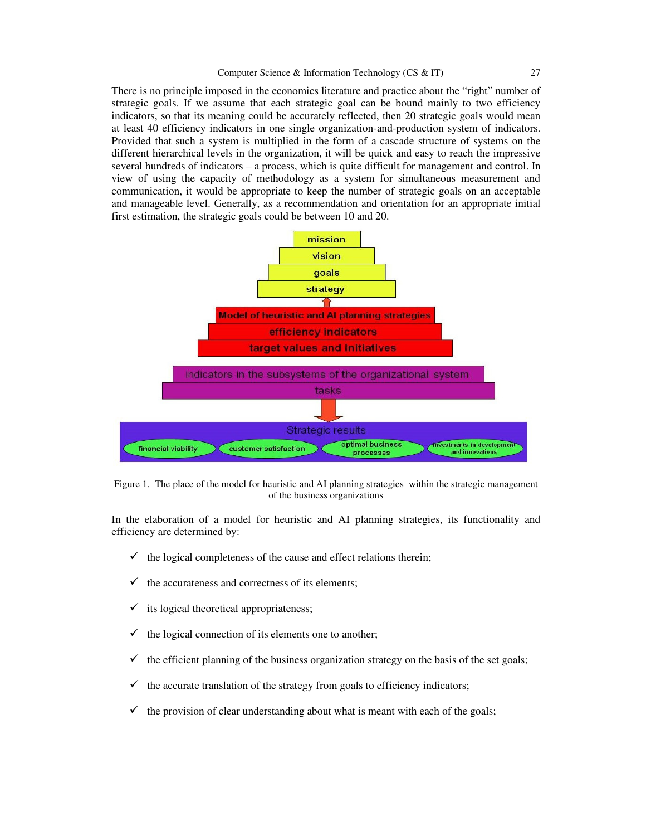There is no principle imposed in the economics literature and practice about the "right" number of strategic goals. If we assume that each strategic goal can be bound mainly to two efficiency indicators, so that its meaning could be accurately reflected, then 20 strategic goals would mean at least 40 efficiency indicators in one single organization-and-production system of indicators. Provided that such a system is multiplied in the form of a cascade structure of systems on the different hierarchical levels in the organization, it will be quick and easy to reach the impressive several hundreds of indicators – a process, which is quite difficult for management and control. In view of using the capacity of methodology as a system for simultaneous measurement and communication, it would be appropriate to keep the number of strategic goals on an acceptable and manageable level. Generally, as a recommendation and orientation for an appropriate initial first estimation, the strategic goals could be between 10 and 20.



Figure 1. The place of the model for heuristic and AI planning strategies within the strategic management of the business organizations

In the elaboration of a model for heuristic and AI planning strategies, its functionality and efficiency are determined by:

- $\checkmark$  the logical completeness of the cause and effect relations therein;
- $\checkmark$  the accurateness and correctness of its elements:
- $\checkmark$  its logical theoretical appropriateness;
- $\checkmark$  the logical connection of its elements one to another;
- $\checkmark$  the efficient planning of the business organization strategy on the basis of the set goals;
- the accurate translation of the strategy from goals to efficiency indicators;
- the provision of clear understanding about what is meant with each of the goals;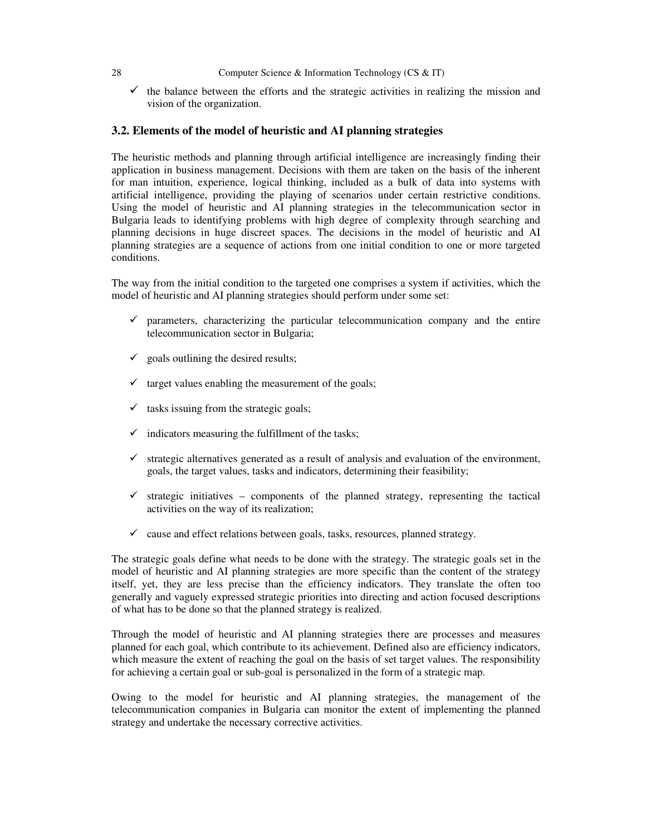$\checkmark$  the balance between the efforts and the strategic activities in realizing the mission and vision of the organization.

## **3.2. Elements of the model of heuristic and AI planning strategies**

The heuristic methods and planning through artificial intelligence are increasingly finding their application in business management. Decisions with them are taken on the basis of the inherent for man intuition, experience, logical thinking, included as a bulk of data into systems with artificial intelligence, providing the playing of scenarios under certain restrictive conditions. Using the model of heuristic and AI planning strategies in the telecommunication sector in Bulgaria leads to identifying problems with high degree of complexity through searching and planning decisions in huge discreet spaces. The decisions in the model of heuristic and AI planning strategies are a sequence of actions from one initial condition to one or more targeted conditions.

The way from the initial condition to the targeted one comprises a system if activities, which the model of heuristic and AI planning strategies should perform under some set:

- $\checkmark$  parameters, characterizing the particular telecommunication company and the entire telecommunication sector in Bulgaria;
- $\checkmark$  goals outlining the desired results;
- $\checkmark$  target values enabling the measurement of the goals;
- $\checkmark$  tasks issuing from the strategic goals;
- $\checkmark$  indicators measuring the fulfillment of the tasks;
- $\checkmark$  strategic alternatives generated as a result of analysis and evaluation of the environment, goals, the target values, tasks and indicators, determining their feasibility;
- $\checkmark$  strategic initiatives components of the planned strategy, representing the tactical activities on the way of its realization;
- $\checkmark$  cause and effect relations between goals, tasks, resources, planned strategy.

The strategic goals define what needs to be done with the strategy. The strategic goals set in the model of heuristic and AI planning strategies are more specific than the content of the strategy itself, yet, they are less precise than the efficiency indicators. They translate the often too generally and vaguely expressed strategic priorities into directing and action focused descriptions of what has to be done so that the planned strategy is realized.

Through the model of heuristic and AI planning strategies there are processes and measures planned for each goal, which contribute to its achievement. Defined also are efficiency indicators, which measure the extent of reaching the goal on the basis of set target values. The responsibility for achieving a certain goal or sub-goal is personalized in the form of a strategic map.

Owing to the model for heuristic and AI planning strategies, the management of the telecommunication companies in Bulgaria can monitor the extent of implementing the planned strategy and undertake the necessary corrective activities.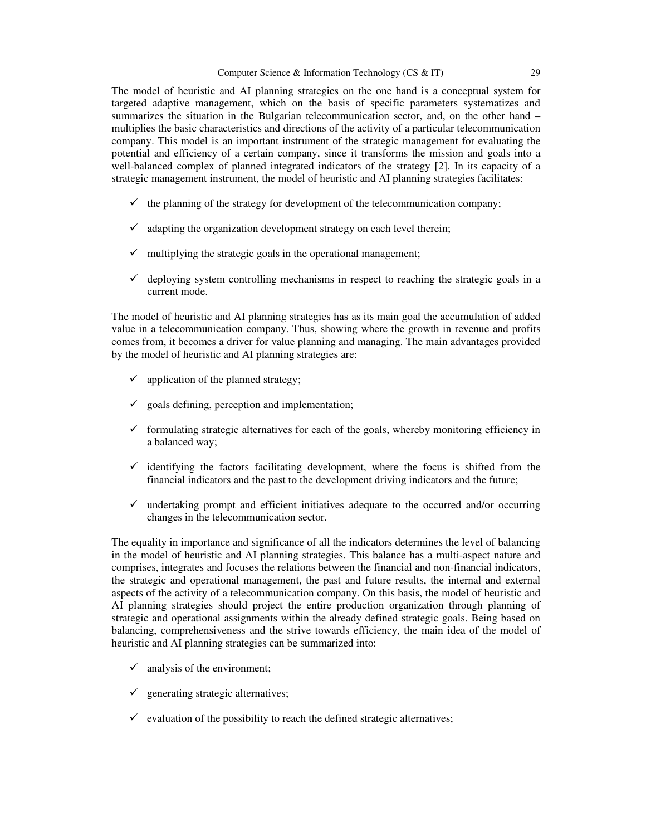The model of heuristic and AI planning strategies on the one hand is a conceptual system for targeted adaptive management, which on the basis of specific parameters systematizes and summarizes the situation in the Bulgarian telecommunication sector, and, on the other hand – multiplies the basic characteristics and directions of the activity of a particular telecommunication company. This model is an important instrument of the strategic management for evaluating the potential and efficiency of a certain company, since it transforms the mission and goals into a well-balanced complex of planned integrated indicators of the strategy [2]. In its capacity of a strategic management instrument, the model of heuristic and AI planning strategies facilitates:

- $\checkmark$  the planning of the strategy for development of the telecommunication company;
- $\checkmark$  adapting the organization development strategy on each level therein;
- $\checkmark$  multiplying the strategic goals in the operational management;
- $\checkmark$  deploying system controlling mechanisms in respect to reaching the strategic goals in a current mode.

The model of heuristic and AI planning strategies has as its main goal the accumulation of added value in a telecommunication company. Thus, showing where the growth in revenue and profits comes from, it becomes a driver for value planning and managing. The main advantages provided by the model of heuristic and AI planning strategies are:

- $\checkmark$  application of the planned strategy;
- $\checkmark$  goals defining, perception and implementation;
- $\checkmark$  formulating strategic alternatives for each of the goals, whereby monitoring efficiency in a balanced way;
- $\checkmark$  identifying the factors facilitating development, where the focus is shifted from the financial indicators and the past to the development driving indicators and the future;
- $\checkmark$  undertaking prompt and efficient initiatives adequate to the occurred and/or occurring changes in the telecommunication sector.

The equality in importance and significance of all the indicators determines the level of balancing in the model of heuristic and AI planning strategies. This balance has a multi-aspect nature and comprises, integrates and focuses the relations between the financial and non-financial indicators, the strategic and operational management, the past and future results, the internal and external aspects of the activity of a telecommunication company. On this basis, the model of heuristic and AI planning strategies should project the entire production organization through planning of strategic and operational assignments within the already defined strategic goals. Being based on balancing, comprehensiveness and the strive towards efficiency, the main idea of the model of heuristic and AI planning strategies can be summarized into:

- $\checkmark$  analysis of the environment;
- $\checkmark$  generating strategic alternatives;
- $\checkmark$  evaluation of the possibility to reach the defined strategic alternatives;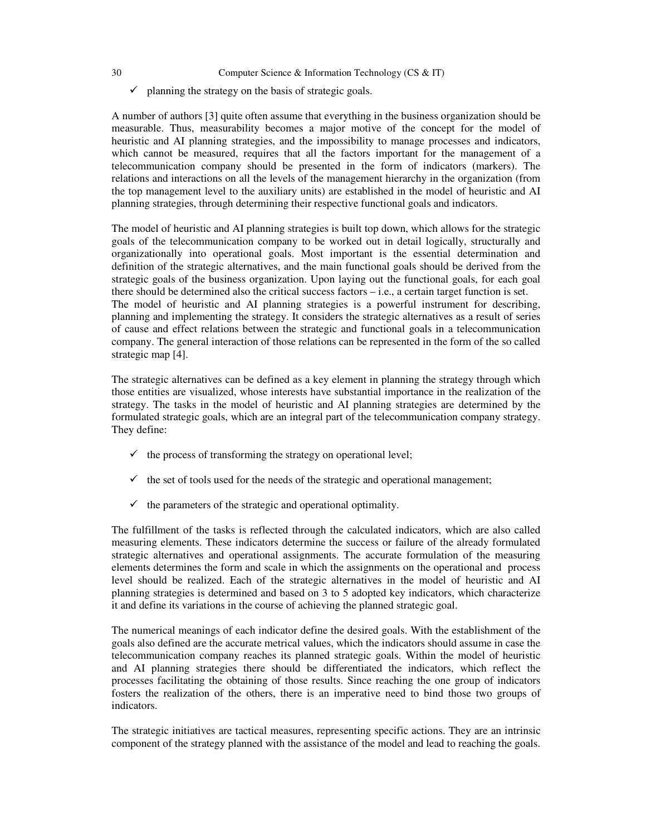- 30 Computer Science & Information Technology (CS & IT)
	- $\checkmark$  planning the strategy on the basis of strategic goals.

A number of authors [3] quite often assume that everything in the business organization should be measurable. Thus, measurability becomes a major motive of the concept for the model of heuristic and AI planning strategies, and the impossibility to manage processes and indicators, which cannot be measured, requires that all the factors important for the management of a telecommunication company should be presented in the form of indicators (markers). The relations and interactions on all the levels of the management hierarchy in the organization (from the top management level to the auxiliary units) are established in the model of heuristic and AI planning strategies, through determining their respective functional goals and indicators.

The model of heuristic and AI planning strategies is built top down, which allows for the strategic goals of the telecommunication company to be worked out in detail logically, structurally and organizationally into operational goals. Most important is the essential determination and definition of the strategic alternatives, and the main functional goals should be derived from the strategic goals of the business organization. Upon laying out the functional goals, for each goal there should be determined also the critical success factors – i.е., a certain target function is set. The model of heuristic and AI planning strategies is a powerful instrument for describing, planning and implementing the strategy. It considers the strategic alternatives as a result of series of cause and effect relations between the strategic and functional goals in a telecommunication company. The general interaction of those relations can be represented in the form of the so called strategic map [4].

The strategic alternatives can be defined as a key element in planning the strategy through which those entities are visualized, whose interests have substantial importance in the realization of the strategy. The tasks in the model of heuristic and AI planning strategies are determined by the formulated strategic goals, which are an integral part of the telecommunication company strategy. They define:

- $\checkmark$  the process of transforming the strategy on operational level;
- $\checkmark$  the set of tools used for the needs of the strategic and operational management;
- $\checkmark$  the parameters of the strategic and operational optimality.

The fulfillment of the tasks is reflected through the calculated indicators, which are also called measuring elements. These indicators determine the success or failure of the already formulated strategic alternatives and operational assignments. The accurate formulation of the measuring elements determines the form and scale in which the assignments on the operational and process level should be realized. Each of the strategic alternatives in the model of heuristic and AI planning strategies is determined and based on 3 to 5 adopted key indicators, which characterize it and define its variations in the course of achieving the planned strategic goal.

The numerical meanings of each indicator define the desired goals. With the establishment of the goals also defined are the accurate metrical values, which the indicators should assume in case the telecommunication company reaches its planned strategic goals. Within the model of heuristic and AI planning strategies there should be differentiated the indicators, which reflect the processes facilitating the obtaining of those results. Since reaching the one group of indicators fosters the realization of the others, there is an imperative need to bind those two groups of indicators.

The strategic initiatives are tactical measures, representing specific actions. They are an intrinsic component of the strategy planned with the assistance of the model and lead to reaching the goals.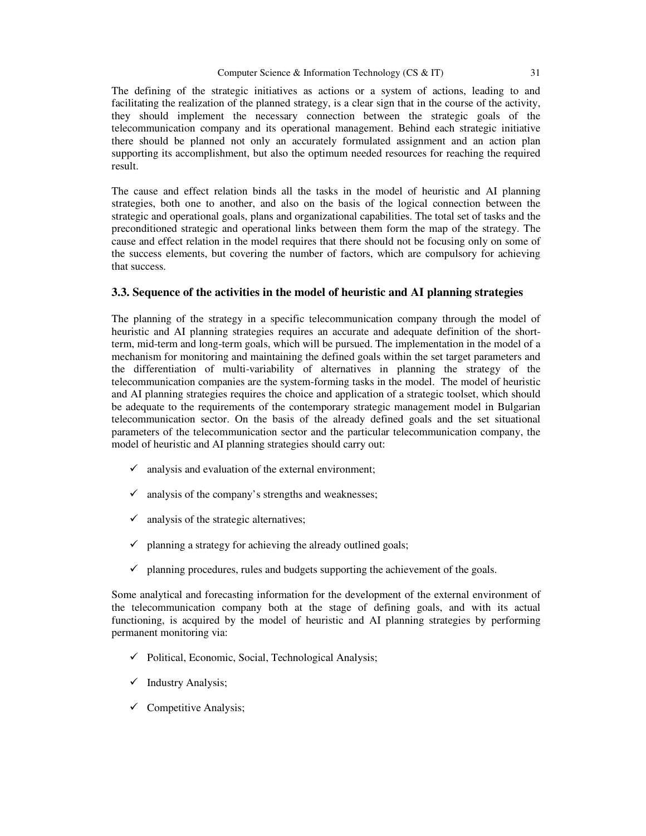The defining of the strategic initiatives as actions or a system of actions, leading to and facilitating the realization of the planned strategy, is a clear sign that in the course of the activity, they should implement the necessary connection between the strategic goals of the telecommunication company and its operational management. Behind each strategic initiative there should be planned not only an accurately formulated assignment and an action plan supporting its accomplishment, but also the optimum needed resources for reaching the required result.

The cause and effect relation binds all the tasks in the model of heuristic and AI planning strategies, both one to another, and also on the basis of the logical connection between the strategic and operational goals, plans and organizational capabilities. The total set of tasks and the preconditioned strategic and operational links between them form the map of the strategy. The cause and effect relation in the model requires that there should not be focusing only on some of the success elements, but covering the number of factors, which are compulsory for achieving that success.

#### **3.3. Sequence of the activities in the model of heuristic and AI planning strategies**

The planning of the strategy in a specific telecommunication company through the model of heuristic and AI planning strategies requires an accurate and adequate definition of the shortterm, mid-term and long-term goals, which will be pursued. The implementation in the model of a mechanism for monitoring and maintaining the defined goals within the set target parameters and the differentiation of multi-variability of alternatives in planning the strategy of the telecommunication companies are the system-forming tasks in the model. The model of heuristic and AI planning strategies requires the choice and application of a strategic toolset, which should be adequate to the requirements of the contemporary strategic management model in Bulgarian telecommunication sector. On the basis of the already defined goals and the set situational parameters of the telecommunication sector and the particular telecommunication company, the model of heuristic and AI planning strategies should carry out:

- $\checkmark$  analysis and evaluation of the external environment;
- $\checkmark$  analysis of the company's strengths and weaknesses;
- $\checkmark$  analysis of the strategic alternatives;
- $\checkmark$  planning a strategy for achieving the already outlined goals;
- $\checkmark$  planning procedures, rules and budgets supporting the achievement of the goals.

Some analytical and forecasting information for the development of the external environment of the telecommunication company both at the stage of defining goals, and with its actual functioning, is acquired by the model of heuristic and AI planning strategies by performing permanent monitoring via:

- $\checkmark$  Political, Economic, Social, Technological Analysis;
- $\checkmark$  Industry Analysis;
- $\checkmark$  Competitive Analysis;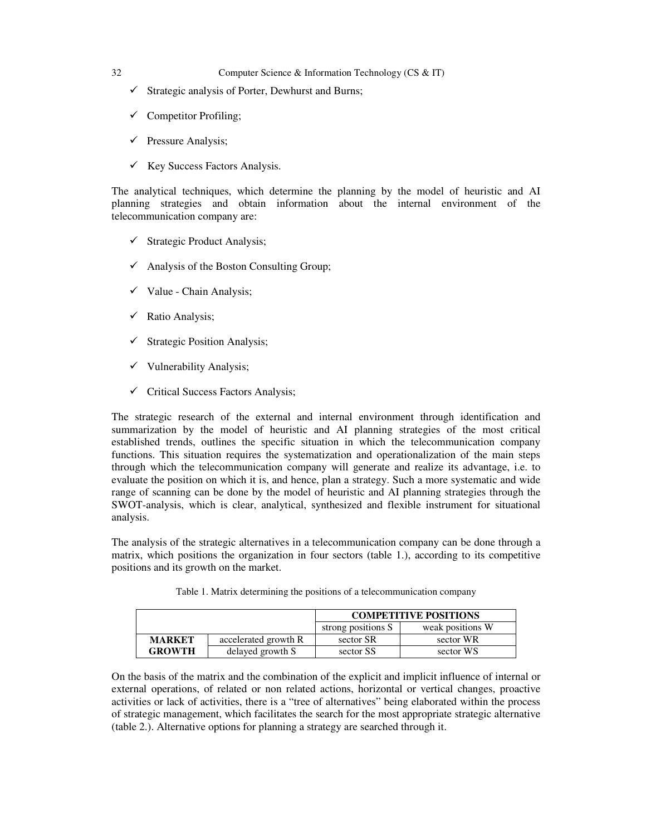- $\checkmark$  Strategic analysis of Porter, Dewhurst and Burns;
- $\checkmark$  Competitor Profiling;
- $\checkmark$  Pressure Analysis;
- $\checkmark$  Key Success Factors Analysis.

The analytical techniques, which determine the planning by the model of heuristic and AI planning strategies and obtain information about the internal environment of the telecommunication company are:

- $\checkmark$  Strategic Product Analysis;
- $\checkmark$  Analysis of the Boston Consulting Group;
- $\checkmark$  Value Chain Analysis;
- $\checkmark$  Ratio Analysis;
- $\checkmark$  Strategic Position Analysis;
- $\checkmark$  Vulnerability Analysis;
- $\checkmark$  Critical Success Factors Analysis;

The strategic research of the external and internal environment through identification and summarization by the model of heuristic and AI planning strategies of the most critical established trends, outlines the specific situation in which the telecommunication company functions. This situation requires the systematization and operationalization of the main steps through which the telecommunication company will generate and realize its advantage, i.e. to evaluate the position on which it is, and hence, plan a strategy. Such a more systematic and wide range of scanning can be done by the model of heuristic and AI planning strategies through the SWOT-analysis, which is clear, analytical, synthesized and flexible instrument for situational analysis.

The analysis of the strategic alternatives in a telecommunication company can be done through a matrix, which positions the organization in four sectors (table 1.), according to its competitive positions and its growth on the market.

|               |                      | <b>COMPETITIVE POSITIONS</b> |                  |
|---------------|----------------------|------------------------------|------------------|
|               |                      | strong positions S           | weak positions W |
| <b>MARKET</b> | accelerated growth R | sector SR                    | sector WR        |
| <b>GROWTH</b> | delayed growth S     | sector SS                    | sector WS        |

Table 1. Matrix determining the positions of a telecommunication company

On the basis of the matrix and the combination of the explicit and implicit influence of internal or external operations, of related or non related actions, horizontal or vertical changes, proactive activities or lack of activities, there is a "tree of alternatives" being elaborated within the process of strategic management, which facilitates the search for the most appropriate strategic alternative (table 2.). Alternative options for planning a strategy are searched through it.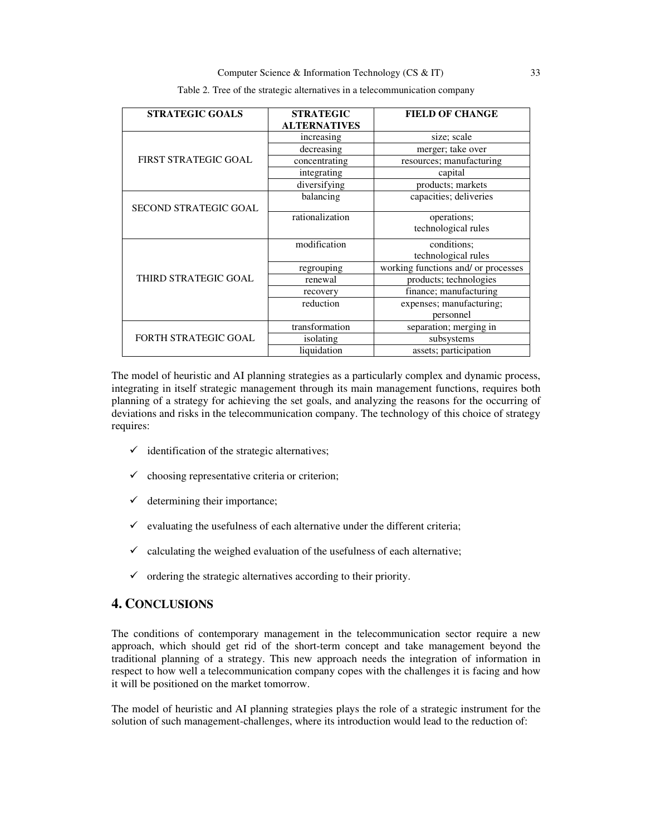| <b>STRATEGIC GOALS</b>       | <b>STRATEGIC</b>    | <b>FIELD OF CHANGE</b>              |
|------------------------------|---------------------|-------------------------------------|
|                              | <b>ALTERNATIVES</b> |                                     |
|                              | increasing          | size; scale                         |
|                              | decreasing          | merger; take over                   |
| <b>FIRST STRATEGIC GOAL</b>  | concentrating       | resources; manufacturing            |
|                              | integrating         | capital                             |
|                              | diversifying        | products; markets                   |
|                              | balancing           | capacities; deliveries              |
| <b>SECOND STRATEGIC GOAL</b> |                     |                                     |
|                              | rationalization     | operations;                         |
|                              |                     | technological rules                 |
|                              | modification        | conditions;                         |
|                              |                     | technological rules                 |
|                              | regrouping          | working functions and/ or processes |
| THIRD STRATEGIC GOAL         | renewal             | products; technologies              |
|                              | recovery            | finance; manufacturing              |
|                              | reduction           | expenses; manufacturing;            |
|                              |                     | personnel                           |
|                              | transformation      | separation; merging in              |
| <b>FORTH STRATEGIC GOAL</b>  | isolating           | subsystems                          |
|                              | liquidation         | assets; participation               |

Table 2. Tree of the strategic alternatives in a telecommunication company

The model of heuristic and AI planning strategies as a particularly complex and dynamic process, integrating in itself strategic management through its main management functions, requires both planning of a strategy for achieving the set goals, and analyzing the reasons for the occurring of deviations and risks in the telecommunication company. The technology of this choice of strategy requires:

- $\checkmark$  identification of the strategic alternatives;
- $\checkmark$  choosing representative criteria or criterion;
- $\checkmark$  determining their importance;
- $\checkmark$  evaluating the usefulness of each alternative under the different criteria;
- $\checkmark$  calculating the weighed evaluation of the usefulness of each alternative;
- $\checkmark$  ordering the strategic alternatives according to their priority.

# **4. CONCLUSIONS**

The conditions of contemporary management in the telecommunication sector require a new approach, which should get rid of the short-term concept and take management beyond the traditional planning of a strategy. This new approach needs the integration of information in respect to how well a telecommunication company copes with the challenges it is facing and how it will be positioned on the market tomorrow.

The model of heuristic and AI planning strategies plays the role of a strategic instrument for the solution of such management-challenges, where its introduction would lead to the reduction of: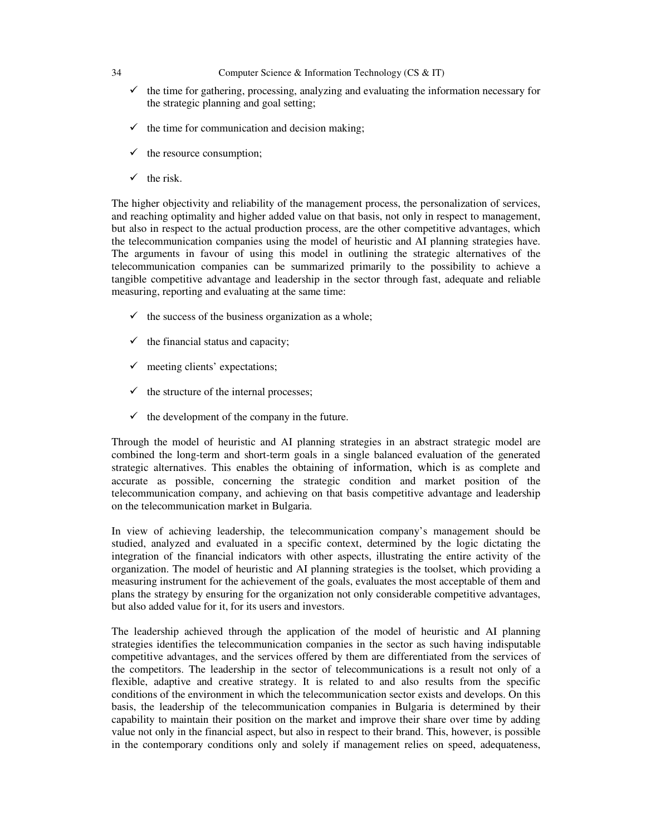- $\checkmark$  the time for gathering, processing, analyzing and evaluating the information necessary for the strategic planning and goal setting;
- $\checkmark$  the time for communication and decision making;
- $\checkmark$  the resource consumption;
- $\checkmark$  the risk.

The higher objectivity and reliability of the management process, the personalization of services, and reaching optimality and higher added value on that basis, not only in respect to management, but also in respect to the actual production process, are the other competitive advantages, which the telecommunication companies using the model of heuristic and AI planning strategies have. The arguments in favour of using this model in outlining the strategic alternatives of the telecommunication companies can be summarized primarily to the possibility to achieve a tangible competitive advantage and leadership in the sector through fast, adequate and reliable measuring, reporting and evaluating at the same time:

- $\checkmark$  the success of the business organization as a whole;
- $\checkmark$  the financial status and capacity;
- $\checkmark$  meeting clients' expectations;
- $\checkmark$  the structure of the internal processes;
- $\checkmark$  the development of the company in the future.

Through the model of heuristic and AI planning strategies in an abstract strategic model are combined the long-term and short-term goals in a single balanced evaluation of the generated strategic alternatives. This enables the obtaining of information, which is as complete and accurate as possible, concerning the strategic condition and market position of the telecommunication company, and achieving on that basis competitive advantage and leadership on the telecommunication market in Bulgaria.

In view of achieving leadership, the telecommunication company's management should be studied, analyzed and evaluated in a specific context, determined by the logic dictating the integration of the financial indicators with other aspects, illustrating the entire activity of the organization. The model of heuristic and AI planning strategies is the toolset, which providing a measuring instrument for the achievement of the goals, evaluates the most acceptable of them and plans the strategy by ensuring for the organization not only considerable competitive advantages, but also added value for it, for its users and investors.

The leadership achieved through the application of the model of heuristic and AI planning strategies identifies the telecommunication companies in the sector as such having indisputable competitive advantages, and the services offered by them are differentiated from the services of the competitors. The leadership in the sector of telecommunications is a result not only of a flexible, adaptive and creative strategy. It is related to and also results from the specific conditions of the environment in which the telecommunication sector exists and develops. On this basis, the leadership of the telecommunication companies in Bulgaria is determined by their capability to maintain their position on the market and improve their share over time by adding value not only in the financial aspect, but also in respect to their brand. This, however, is possible in the contemporary conditions only and solely if management relies on speed, adequateness,